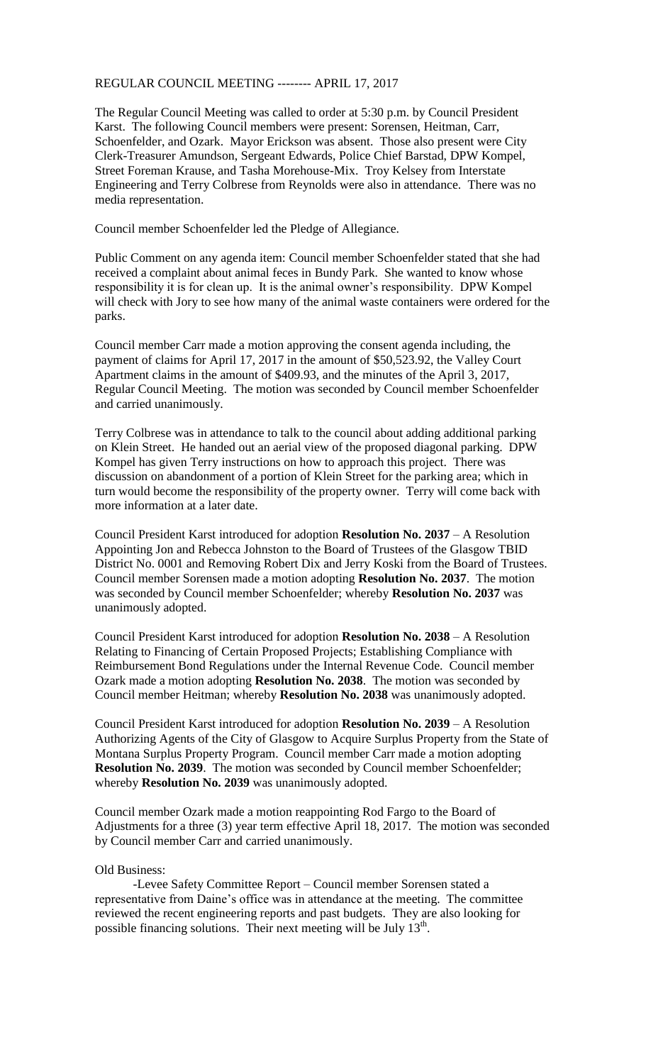## REGULAR COUNCIL MEETING -------- APRIL 17, 2017

The Regular Council Meeting was called to order at 5:30 p.m. by Council President Karst. The following Council members were present: Sorensen, Heitman, Carr, Schoenfelder, and Ozark. Mayor Erickson was absent. Those also present were City Clerk-Treasurer Amundson, Sergeant Edwards, Police Chief Barstad, DPW Kompel, Street Foreman Krause, and Tasha Morehouse-Mix. Troy Kelsey from Interstate Engineering and Terry Colbrese from Reynolds were also in attendance. There was no media representation.

Council member Schoenfelder led the Pledge of Allegiance.

Public Comment on any agenda item: Council member Schoenfelder stated that she had received a complaint about animal feces in Bundy Park. She wanted to know whose responsibility it is for clean up. It is the animal owner's responsibility. DPW Kompel will check with Jory to see how many of the animal waste containers were ordered for the parks.

Council member Carr made a motion approving the consent agenda including, the payment of claims for April 17, 2017 in the amount of \$50,523.92, the Valley Court Apartment claims in the amount of \$409.93, and the minutes of the April 3, 2017, Regular Council Meeting. The motion was seconded by Council member Schoenfelder and carried unanimously.

Terry Colbrese was in attendance to talk to the council about adding additional parking on Klein Street. He handed out an aerial view of the proposed diagonal parking. DPW Kompel has given Terry instructions on how to approach this project. There was discussion on abandonment of a portion of Klein Street for the parking area; which in turn would become the responsibility of the property owner. Terry will come back with more information at a later date.

Council President Karst introduced for adoption **Resolution No. 2037** – A Resolution Appointing Jon and Rebecca Johnston to the Board of Trustees of the Glasgow TBID District No. 0001 and Removing Robert Dix and Jerry Koski from the Board of Trustees. Council member Sorensen made a motion adopting **Resolution No. 2037**. The motion was seconded by Council member Schoenfelder; whereby **Resolution No. 2037** was unanimously adopted.

Council President Karst introduced for adoption **Resolution No. 2038** – A Resolution Relating to Financing of Certain Proposed Projects; Establishing Compliance with Reimbursement Bond Regulations under the Internal Revenue Code. Council member Ozark made a motion adopting **Resolution No. 2038**. The motion was seconded by Council member Heitman; whereby **Resolution No. 2038** was unanimously adopted.

Council President Karst introduced for adoption **Resolution No. 2039** – A Resolution Authorizing Agents of the City of Glasgow to Acquire Surplus Property from the State of Montana Surplus Property Program. Council member Carr made a motion adopting **Resolution No. 2039**. The motion was seconded by Council member Schoenfelder; whereby **Resolution No. 2039** was unanimously adopted.

Council member Ozark made a motion reappointing Rod Fargo to the Board of Adjustments for a three (3) year term effective April 18, 2017. The motion was seconded by Council member Carr and carried unanimously.

## Old Business:

-Levee Safety Committee Report – Council member Sorensen stated a representative from Daine's office was in attendance at the meeting. The committee reviewed the recent engineering reports and past budgets. They are also looking for possible financing solutions. Their next meeting will be July 13<sup>th</sup>.